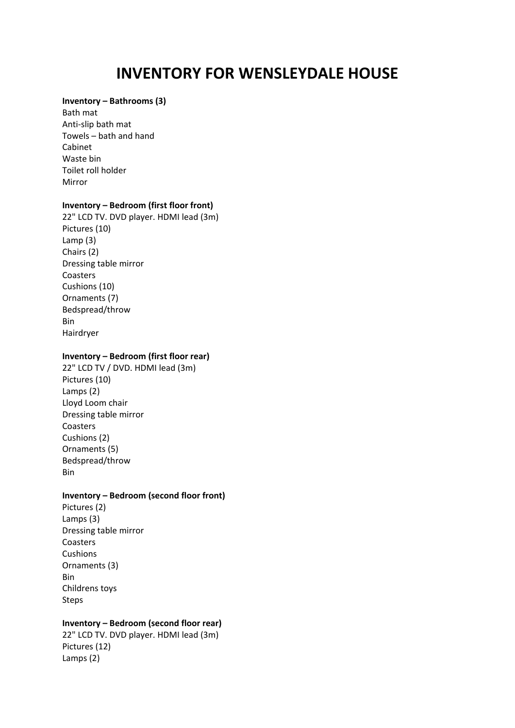# **INVENTORY FOR WENSLEYDALE HOUSE**

## **Inventory – Bathrooms (3)**

Bath mat Anti‐slip bath mat Towels – bath and hand Cabinet Waste bin Toilet roll holder Mirror

## **Inventory – Bedroom (first floor front)**

22" LCD TV. DVD player. HDMI lead (3m) Pictures (10) Lamp (3) Chairs (2) Dressing table mirror Coasters Cushions (10) Ornaments (7) Bedspread/throw Bin Hairdryer

# **Inventory – Bedroom (first floor rear)**

22" LCD TV / DVD. HDMI lead (3m) Pictures (10) Lamps (2) Lloyd Loom chair Dressing table mirror Coasters Cushions (2) Ornaments (5) Bedspread/throw Bin

#### **Inventory – Bedroom (second floor front)**

Pictures (2) Lamps (3) Dressing table mirror Coasters **Cushions** Ornaments (3) Bin Childrens toys Steps

# **Inventory – Bedroom (second floor rear)**

22" LCD TV. DVD player. HDMI lead (3m) Pictures (12) Lamps (2)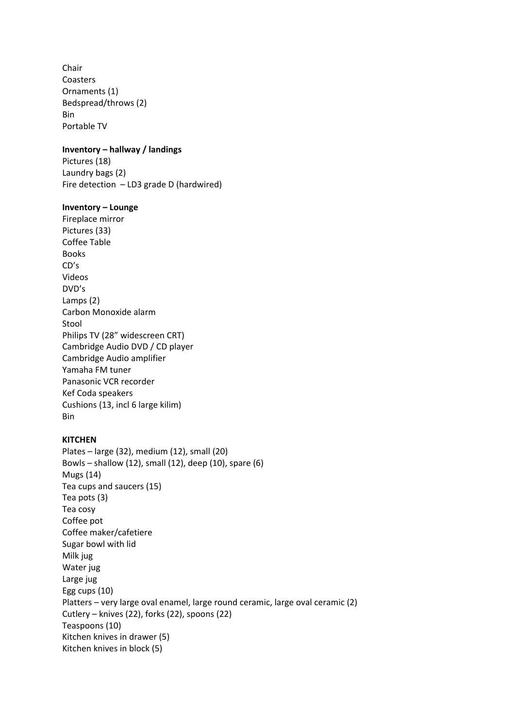Chair Coasters Ornaments (1) Bedspread/throws (2) Bin Portable TV

## **Inventory – hallway / landings**

Pictures (18) Laundry bags (2) Fire detection – LD3 grade D (hardwired)

#### **Inventory – Lounge**

Fireplace mirror Pictures (33) Coffee Table Books CD's Videos DVD's Lamps (2) Carbon Monoxide alarm Stool Philips TV (28" widescreen CRT) Cambridge Audio DVD / CD player Cambridge Audio amplifier Yamaha FM tuner Panasonic VCR recorder Kef Coda speakers Cushions (13, incl 6 large kilim) Bin

## **KITCHEN**

Plates – large (32), medium (12), small (20) Bowls – shallow (12), small (12), deep (10), spare (6) Mugs (14) Tea cups and saucers (15) Tea pots (3) Tea cosy Coffee pot Coffee maker/cafetiere Sugar bowl with lid Milk jug Water jug Large jug Egg cups (10) Platters – very large oval enamel, large round ceramic, large oval ceramic (2) Cutlery – knives (22), forks (22), spoons (22) Teaspoons (10) Kitchen knives in drawer (5) Kitchen knives in block (5)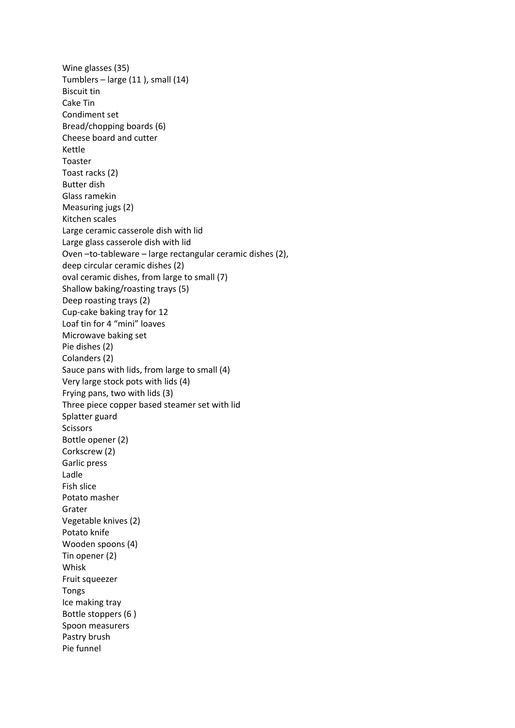Wine glasses (35) Tumblers – large (11 ), small (14) Biscuit tin Cake Tin Condiment set Bread/chopping boards (6) Cheese board and cutter Kettle Toaster Toast racks (2) Butter dish Glass ramekin Measuring jugs (2) Kitchen scales Large ceramic casserole dish with lid Large glass casserole dish with lid Oven -to-tableware - large rectangular ceramic dishes (2), deep circular ceramic dishes (2) oval ceramic dishes, from large to small (7) Shallow baking/roasting trays (5) Deep roasting trays (2) Cup‐cake baking tray for 12 Loaf tin for 4 "mini" loaves Microwave baking set Pie dishes (2) Colanders (2) Sauce pans with lids, from large to small (4) Very large stock pots with lids (4) Frying pans, two with lids (3) Three piece copper based steamer set with lid Splatter guard **Scissors** Bottle opener (2) Corkscrew (2) Garlic press Ladle Fish slice Potato masher Grater Vegetable knives (2) Potato knife Wooden spoons (4) Tin opener (2) Whisk Fruit squeezer Tongs Ice making tray Bottle stoppers (6 ) Spoon measurers Pastry brush Pie funnel